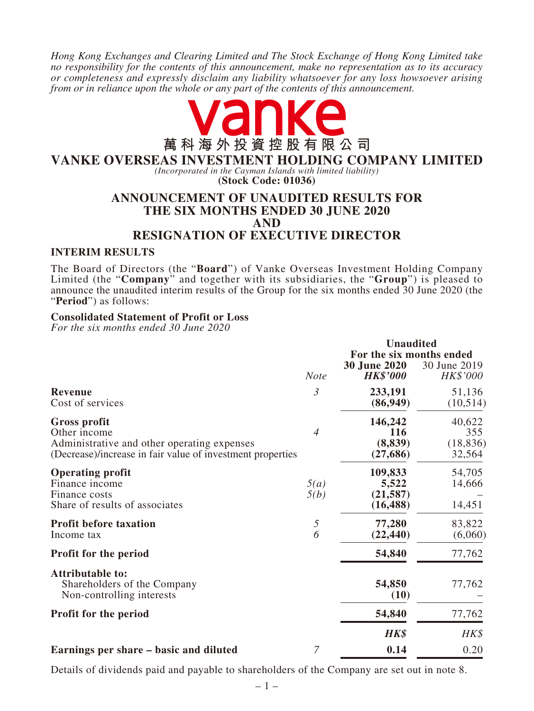*Hong Kong Exchanges and Clearing Limited and The Stock Exchange of Hong Kong Limited take no responsibility for the contents of this announcement, make no representation as to its accuracy or completeness and expressly disclaim any liability whatsoever for any loss howsoever arising from or in reliance upon the whole or any part of the contents of this announcement.*



# **VANKE OVERSEAS INVESTMENT HOLDING COMPANY LIMITED**

*(Incorporated in the Cayman Islands with limited liability)* **(Stock Code: 01036)**

## **ANNOUNCEMENT OF UNAUDITED RESULTS FOR THE SIX MONTHS ENDED 30 JUNE 2020 AND RESIGNATION OF EXECUTIVE DIRECTOR**

### **INTERIM RESULTS**

The Board of Directors (the "**Board**") of Vanke Overseas Investment Holding Company Limited (the "**Company**" and together with its subsidiaries, the "**Group**") is pleased to announce the unaudited interim results of the Group for the six months ended 30 June 2020 (the "**Period**") as follows:

### **Consolidated Statement of Profit or Loss**

*For the six months ended 30 June 2020*

|                                                                                                                                           |                 | <b>Unaudited</b>                                                   |                                      |
|-------------------------------------------------------------------------------------------------------------------------------------------|-----------------|--------------------------------------------------------------------|--------------------------------------|
|                                                                                                                                           | <b>Note</b>     | For the six months ended<br><b>30 June 2020</b><br><b>HK\$'000</b> | 30 June 2019<br>HK\$'000             |
| <b>Revenue</b><br>Cost of services                                                                                                        | 3               | 233,191<br>(86,949)                                                | 51,136<br>(10,514)                   |
| Gross profit<br>Other income<br>Administrative and other operating expenses<br>(Decrease)/increase in fair value of investment properties | $\overline{4}$  | 146,242<br>116<br>(8, 839)<br>(27, 686)                            | 40,622<br>355<br>(18, 836)<br>32,564 |
| <b>Operating profit</b><br>Finance income<br>Finance costs<br>Share of results of associates                                              | 5(a)<br>5(b)    | 109,833<br>5,522<br>(21, 587)<br>(16, 488)                         | 54,705<br>14,666<br>14,451           |
| <b>Profit before taxation</b><br>Income tax                                                                                               | $\sqrt{2}$<br>6 | 77,280<br>(22, 440)                                                | 83,822<br>(6,060)                    |
| <b>Profit for the period</b>                                                                                                              |                 | 54,840                                                             | 77,762                               |
| <b>Attributable to:</b><br>Shareholders of the Company<br>Non-controlling interests                                                       |                 | 54,850<br>(10)                                                     | 77,762                               |
| Profit for the period                                                                                                                     |                 | 54,840                                                             | 77,762                               |
|                                                                                                                                           |                 | <b>HK\$</b>                                                        | HK\$                                 |
| Earnings per share – basic and diluted                                                                                                    | $\overline{7}$  | 0.14                                                               | 0.20                                 |

Details of dividends paid and payable to shareholders of the Company are set out in note 8.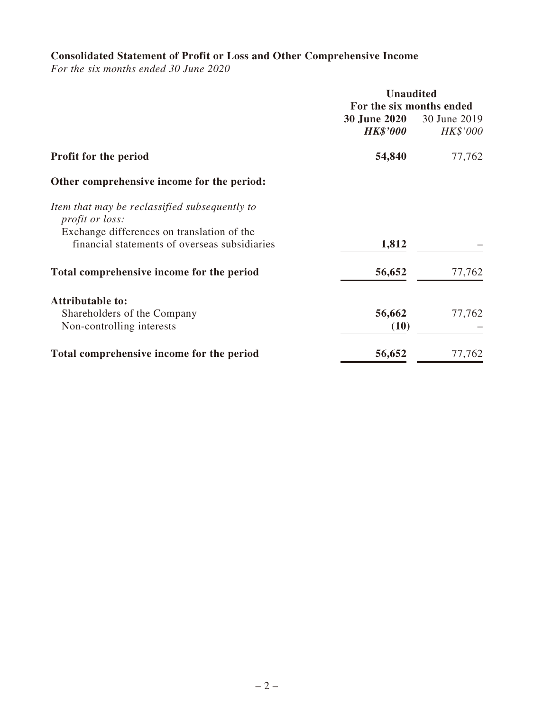# **Consolidated Statement of Profit or Loss and Other Comprehensive Income**

*For the six months ended 30 June 2020*

|                                                                                                                       | <b>Unaudited</b>                       |                          |  |
|-----------------------------------------------------------------------------------------------------------------------|----------------------------------------|--------------------------|--|
|                                                                                                                       | For the six months ended               |                          |  |
|                                                                                                                       | <b>30 June 2020</b><br><b>HK\$'000</b> | 30 June 2019<br>HK\$'000 |  |
| <b>Profit for the period</b>                                                                                          | 54,840                                 | 77,762                   |  |
| Other comprehensive income for the period:                                                                            |                                        |                          |  |
| Item that may be reclassified subsequently to<br><i>profit or loss:</i><br>Exchange differences on translation of the |                                        |                          |  |
| financial statements of overseas subsidiaries                                                                         | 1,812                                  |                          |  |
| Total comprehensive income for the period                                                                             | 56,652                                 | 77,762                   |  |
| <b>Attributable to:</b>                                                                                               |                                        |                          |  |
| Shareholders of the Company                                                                                           | 56,662                                 | 77,762                   |  |
| Non-controlling interests                                                                                             | (10)                                   |                          |  |
| Total comprehensive income for the period                                                                             | 56,652                                 | 77,762                   |  |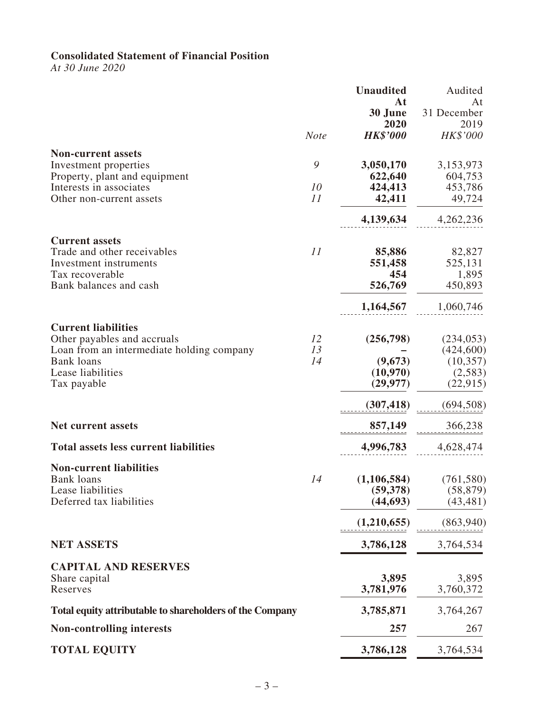### **Consolidated Statement of Financial Position**

*At 30 June 2020*

|                                                          |             | <b>Unaudited</b> | Audited           |
|----------------------------------------------------------|-------------|------------------|-------------------|
|                                                          |             | At<br>30 June    | At<br>31 December |
|                                                          |             | 2020             | 2019              |
|                                                          | <b>Note</b> | <b>HK\$'000</b>  | HK\$'000          |
| <b>Non-current assets</b>                                |             |                  |                   |
| Investment properties                                    | 9           | 3,050,170        | 3,153,973         |
| Property, plant and equipment                            |             | 622,640          | 604,753           |
| Interests in associates                                  | 10          | 424,413          | 453,786           |
| Other non-current assets                                 | 11          | 42,411           | 49,724            |
|                                                          |             | 4,139,634        | 4,262,236         |
| <b>Current assets</b>                                    |             |                  |                   |
| Trade and other receivables                              | 11          | 85,886           | 82,827            |
| Investment instruments                                   |             | 551,458          | 525,131           |
| Tax recoverable                                          |             | 454              | 1,895             |
| Bank balances and cash                                   |             | 526,769          | 450,893           |
|                                                          |             | 1,164,567        | 1,060,746         |
| <b>Current liabilities</b>                               |             |                  |                   |
| Other payables and accruals                              | 12          | (256,798)        | (234, 053)        |
| Loan from an intermediate holding company                | 13          |                  | (424, 600)        |
| <b>Bank loans</b>                                        | 14          | (9,673)          | (10, 357)         |
| Lease liabilities                                        |             | (10,970)         | (2,583)           |
| Tax payable                                              |             | (29, 977)        | (22, 915)         |
|                                                          |             | (307, 418)       | (694, 508)        |
| <b>Net current assets</b>                                |             | 857,149          | 366,238           |
| <b>Total assets less current liabilities</b>             |             | 4,996,783        | 4,628,474         |
| <b>Non-current liabilities</b>                           |             |                  |                   |
| <b>Bank</b> loans                                        | 14          | (1,106,584)      | (761, 580)        |
| Lease liabilities                                        |             | (59,378)         | (58, 879)         |
| Deferred tax liabilities                                 |             | (44, 693)        | (43, 481)         |
|                                                          |             | (1,210,655)      | (863,940)         |
| <b>NET ASSETS</b>                                        |             | 3,786,128        | 3,764,534         |
| <b>CAPITAL AND RESERVES</b>                              |             |                  |                   |
| Share capital                                            |             | 3,895            | 3,895             |
| Reserves                                                 |             | 3,781,976        | 3,760,372         |
| Total equity attributable to shareholders of the Company |             | 3,785,871        | 3,764,267         |
| <b>Non-controlling interests</b>                         |             | 257              | 267               |
| <b>TOTAL EQUITY</b>                                      |             | 3,786,128        | 3,764,534         |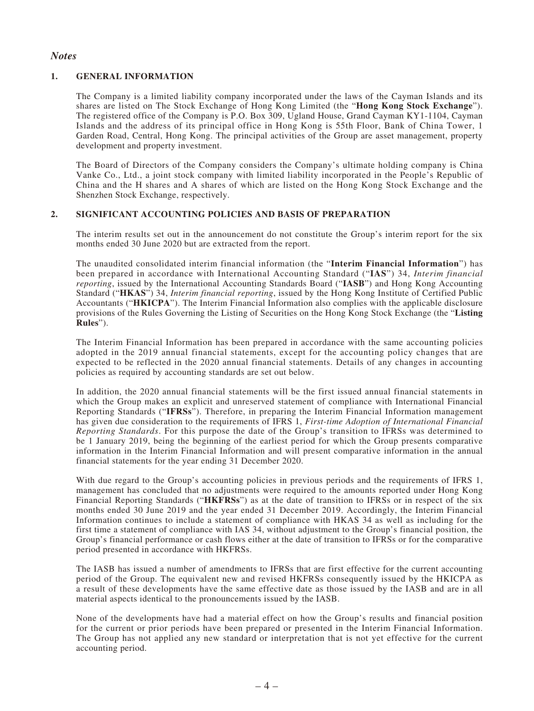### *Notes*

### **1. GENERAL INFORMATION**

The Company is a limited liability company incorporated under the laws of the Cayman Islands and its shares are listed on The Stock Exchange of Hong Kong Limited (the "**Hong Kong Stock Exchange**"). The registered office of the Company is P.O. Box 309, Ugland House, Grand Cayman KY1-1104, Cayman Islands and the address of its principal office in Hong Kong is 55th Floor, Bank of China Tower, 1 Garden Road, Central, Hong Kong. The principal activities of the Group are asset management, property development and property investment.

The Board of Directors of the Company considers the Company's ultimate holding company is China Vanke Co., Ltd., a joint stock company with limited liability incorporated in the People's Republic of China and the H shares and A shares of which are listed on the Hong Kong Stock Exchange and the Shenzhen Stock Exchange, respectively.

### **2. SIGNIFICANT ACCOUNTING POLICIES AND BASIS OF PREPARATION**

The interim results set out in the announcement do not constitute the Group's interim report for the six months ended 30 June 2020 but are extracted from the report.

The unaudited consolidated interim financial information (the "**Interim Financial Information**") has been prepared in accordance with International Accounting Standard ("**IAS**") 34, *Interim financial reporting*, issued by the International Accounting Standards Board ("**IASB**") and Hong Kong Accounting Standard ("**HKAS**") 34, *Interim financial reporting*, issued by the Hong Kong Institute of Certified Public Accountants ("**HKICPA**"). The Interim Financial Information also complies with the applicable disclosure provisions of the Rules Governing the Listing of Securities on the Hong Kong Stock Exchange (the "**Listing Rules**").

The Interim Financial Information has been prepared in accordance with the same accounting policies adopted in the 2019 annual financial statements, except for the accounting policy changes that are expected to be reflected in the 2020 annual financial statements. Details of any changes in accounting policies as required by accounting standards are set out below.

In addition, the 2020 annual financial statements will be the first issued annual financial statements in which the Group makes an explicit and unreserved statement of compliance with International Financial Reporting Standards ("**IFRSs**"). Therefore, in preparing the Interim Financial Information management has given due consideration to the requirements of IFRS 1, *First-time Adoption of International Financial Reporting Standards*. For this purpose the date of the Group's transition to IFRSs was determined to be 1 January 2019, being the beginning of the earliest period for which the Group presents comparative information in the Interim Financial Information and will present comparative information in the annual financial statements for the year ending 31 December 2020.

With due regard to the Group's accounting policies in previous periods and the requirements of IFRS 1, management has concluded that no adjustments were required to the amounts reported under Hong Kong Financial Reporting Standards ("**HKFRSs**") as at the date of transition to IFRSs or in respect of the six months ended 30 June 2019 and the year ended 31 December 2019. Accordingly, the Interim Financial Information continues to include a statement of compliance with HKAS 34 as well as including for the first time a statement of compliance with IAS 34, without adjustment to the Group's financial position, the Group's financial performance or cash flows either at the date of transition to IFRSs or for the comparative period presented in accordance with HKFRSs.

The IASB has issued a number of amendments to IFRSs that are first effective for the current accounting period of the Group. The equivalent new and revised HKFRSs consequently issued by the HKICPA as a result of these developments have the same effective date as those issued by the IASB and are in all material aspects identical to the pronouncements issued by the IASB.

None of the developments have had a material effect on how the Group's results and financial position for the current or prior periods have been prepared or presented in the Interim Financial Information. The Group has not applied any new standard or interpretation that is not yet effective for the current accounting period.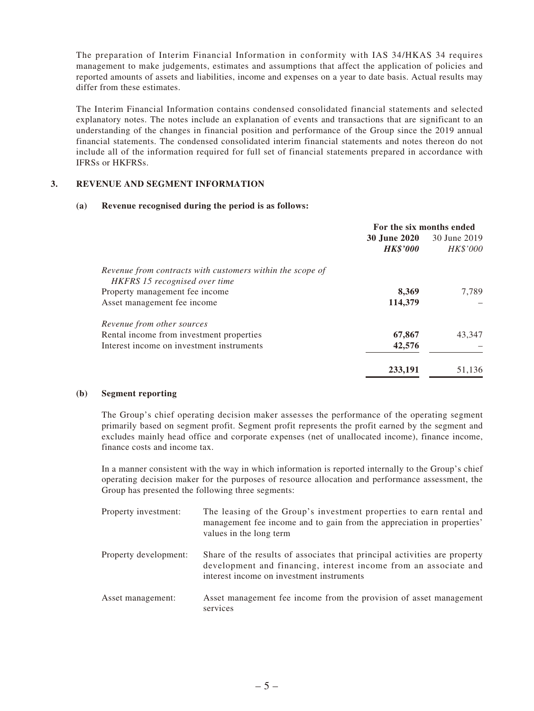The preparation of Interim Financial Information in conformity with IAS 34/HKAS 34 requires management to make judgements, estimates and assumptions that affect the application of policies and reported amounts of assets and liabilities, income and expenses on a year to date basis. Actual results may differ from these estimates.

The Interim Financial Information contains condensed consolidated financial statements and selected explanatory notes. The notes include an explanation of events and transactions that are significant to an understanding of the changes in financial position and performance of the Group since the 2019 annual financial statements. The condensed consolidated interim financial statements and notes thereon do not include all of the information required for full set of financial statements prepared in accordance with IFRSs or HKFRSs.

#### **3. REVENUE AND SEGMENT INFORMATION**

#### **(a) Revenue recognised during the period is as follows:**

|                                                           | For the six months ended |                 |
|-----------------------------------------------------------|--------------------------|-----------------|
|                                                           | <b>30 June 2020</b>      | 30 June 2019    |
|                                                           | <b>HK\$'000</b>          | <i>HK\$'000</i> |
| Revenue from contracts with customers within the scope of |                          |                 |
| HKFRS 15 recognised over time                             |                          |                 |
| Property management fee income                            | 8,369                    | 7,789           |
| Asset management fee income                               | 114,379                  |                 |
| Revenue from other sources                                |                          |                 |
| Rental income from investment properties                  | 67,867                   | 43,347          |
| Interest income on investment instruments                 | 42,576                   |                 |
|                                                           | 233,191                  | 51.136          |

#### **(b) Segment reporting**

The Group's chief operating decision maker assesses the performance of the operating segment primarily based on segment profit. Segment profit represents the profit earned by the segment and excludes mainly head office and corporate expenses (net of unallocated income), finance income, finance costs and income tax.

In a manner consistent with the way in which information is reported internally to the Group's chief operating decision maker for the purposes of resource allocation and performance assessment, the Group has presented the following three segments:

| Property investment:  | The leasing of the Group's investment properties to earn rental and<br>management fee income and to gain from the appreciation in properties'<br>values in the long term                   |
|-----------------------|--------------------------------------------------------------------------------------------------------------------------------------------------------------------------------------------|
| Property development: | Share of the results of associates that principal activities are property<br>development and financing, interest income from an associate and<br>interest income on investment instruments |
| Asset management:     | Asset management fee income from the provision of asset management<br>services                                                                                                             |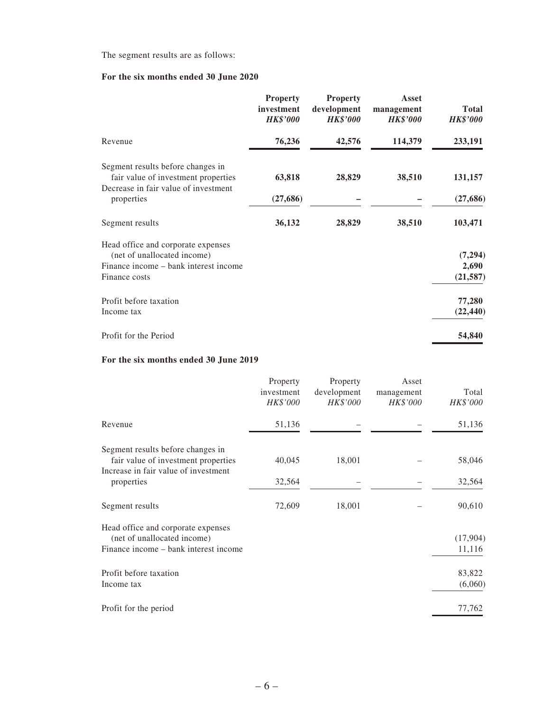The segment results are as follows:

## **For the six months ended 30 June 2020**

|                                                                                                                             | <b>Property</b><br>investment<br><b>HK\$'000</b> | <b>Property</b><br>development<br><b>HK\$'000</b> | Asset<br>management<br><b>HK\$'000</b> | <b>Total</b><br><b>HK\$'000</b> |
|-----------------------------------------------------------------------------------------------------------------------------|--------------------------------------------------|---------------------------------------------------|----------------------------------------|---------------------------------|
| Revenue                                                                                                                     | 76,236                                           | 42,576                                            | 114,379                                | 233,191                         |
| Segment results before changes in<br>fair value of investment properties                                                    | 63,818                                           | 28,829                                            | 38,510                                 | 131,157                         |
| Decrease in fair value of investment<br>properties                                                                          | (27, 686)                                        |                                                   |                                        | (27, 686)                       |
| Segment results                                                                                                             | 36,132                                           | 28,829                                            | 38,510                                 | 103,471                         |
| Head office and corporate expenses<br>(net of unallocated income)<br>Finance income – bank interest income<br>Finance costs |                                                  |                                                   |                                        | (7, 294)<br>2,690<br>(21, 587)  |
| Profit before taxation<br>Income tax                                                                                        |                                                  |                                                   |                                        | 77,280<br>(22, 440)             |
| Profit for the Period                                                                                                       |                                                  |                                                   |                                        | 54,840                          |

## **For the six months ended 30 June 2019**

|                                                                          | Property<br>investment<br>HK\$'000 | Property<br>development<br>HK\$'000 | Asset<br>management<br>HK\$'000 | Total<br>HK\$'000 |
|--------------------------------------------------------------------------|------------------------------------|-------------------------------------|---------------------------------|-------------------|
| Revenue                                                                  | 51,136                             |                                     |                                 | 51,136            |
| Segment results before changes in<br>fair value of investment properties | 40,045                             | 18,001                              |                                 | 58,046            |
| Increase in fair value of investment                                     |                                    |                                     |                                 |                   |
| properties                                                               | 32,564                             |                                     |                                 | 32,564            |
| Segment results                                                          | 72,609                             | 18,001                              |                                 | 90,610            |
| Head office and corporate expenses<br>(net of unallocated income)        |                                    |                                     |                                 | (17,904)          |
| Finance income – bank interest income                                    |                                    |                                     |                                 | 11,116            |
| Profit before taxation                                                   |                                    |                                     |                                 | 83,822            |
| Income tax                                                               |                                    |                                     |                                 | (6,060)           |
| Profit for the period                                                    |                                    |                                     |                                 | 77,762            |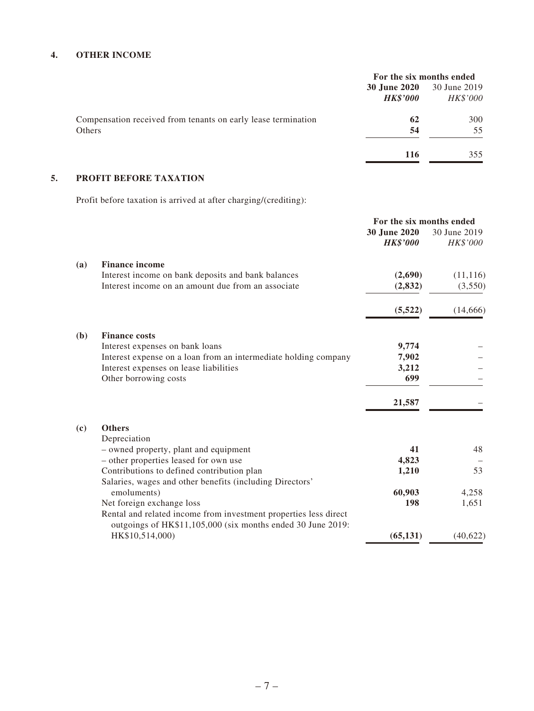### **4. OTHER INCOME**

|                                                               | For the six months ended |                 |
|---------------------------------------------------------------|--------------------------|-----------------|
|                                                               | <b>30 June 2020</b>      | 30 June 2019    |
|                                                               | <b>HK\$'000</b>          | <b>HK\$'000</b> |
| Compensation received from tenants on early lease termination | 62                       | 300             |
| Others                                                        | 54                       | 55              |
|                                                               | 116                      | 355             |

## **5. PROFIT BEFORE TAXATION**

Profit before taxation is arrived at after charging/(crediting):

| For the six months ended |  |
|--------------------------|--|
| 30 June 2019<br>HK\$'000 |  |
|                          |  |
| (11, 116)                |  |
| (3,550)                  |  |
| (14,666)                 |  |
|                          |  |
|                          |  |
|                          |  |
|                          |  |
|                          |  |
|                          |  |
|                          |  |
|                          |  |
| 48                       |  |
| 53                       |  |
|                          |  |
| 4,258                    |  |
| 1,651                    |  |
|                          |  |
| (40,622)                 |  |
|                          |  |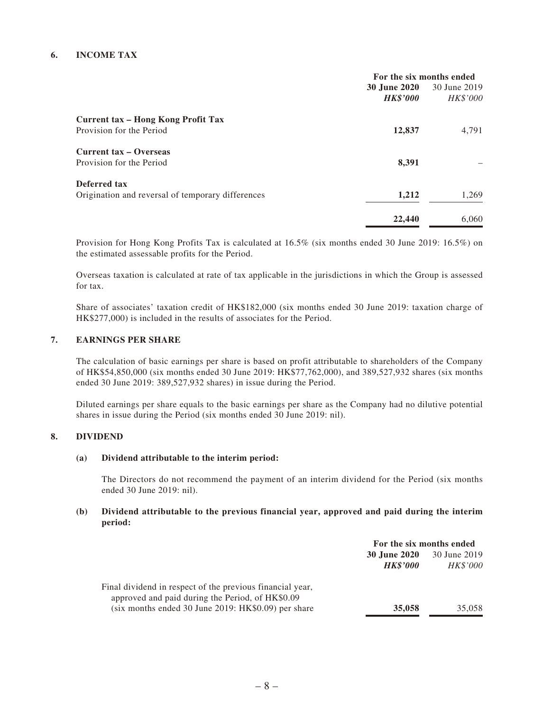### **6. INCOME TAX**

|                                                   | For the six months ended |                 |
|---------------------------------------------------|--------------------------|-----------------|
|                                                   | 30 June 2020             | 30 June 2019    |
|                                                   | <b>HK\$'000</b>          | <i>HK\$'000</i> |
| Current tax – Hong Kong Profit Tax                |                          |                 |
| Provision for the Period                          | 12,837                   | 4,791           |
| Current tax – Overseas                            |                          |                 |
| Provision for the Period                          | 8,391                    |                 |
| Deferred tax                                      |                          |                 |
| Origination and reversal of temporary differences | 1,212                    | 1,269           |
|                                                   | 22,440                   | 6,060           |
|                                                   |                          |                 |

Provision for Hong Kong Profits Tax is calculated at 16.5% (six months ended 30 June 2019: 16.5%) on the estimated assessable profits for the Period.

Overseas taxation is calculated at rate of tax applicable in the jurisdictions in which the Group is assessed for tax.

Share of associates' taxation credit of HK\$182,000 (six months ended 30 June 2019: taxation charge of HK\$277,000) is included in the results of associates for the Period.

#### **7. EARNINGS PER SHARE**

The calculation of basic earnings per share is based on profit attributable to shareholders of the Company of HK\$54,850,000 (six months ended 30 June 2019: HK\$77,762,000), and 389,527,932 shares (six months ended 30 June 2019: 389,527,932 shares) in issue during the Period.

Diluted earnings per share equals to the basic earnings per share as the Company had no dilutive potential shares in issue during the Period (six months ended 30 June 2019: nil).

#### **8. DIVIDEND**

#### **(a) Dividend attributable to the interim period:**

The Directors do not recommend the payment of an interim dividend for the Period (six months ended 30 June 2019: nil).

#### **(b) Dividend attributable to the previous financial year, approved and paid during the interim period:**

|                                                                                                               | For the six months ended               |                                 |
|---------------------------------------------------------------------------------------------------------------|----------------------------------------|---------------------------------|
|                                                                                                               | <b>30 June 2020</b><br><b>HK\$'000</b> | 30 June 2019<br><b>HK\$'000</b> |
| Final dividend in respect of the previous financial year,<br>approved and paid during the Period, of HK\$0.09 |                                        |                                 |
| (six months ended 30 June 2019: HK\$0.09) per share                                                           | 35,058                                 | 35,058                          |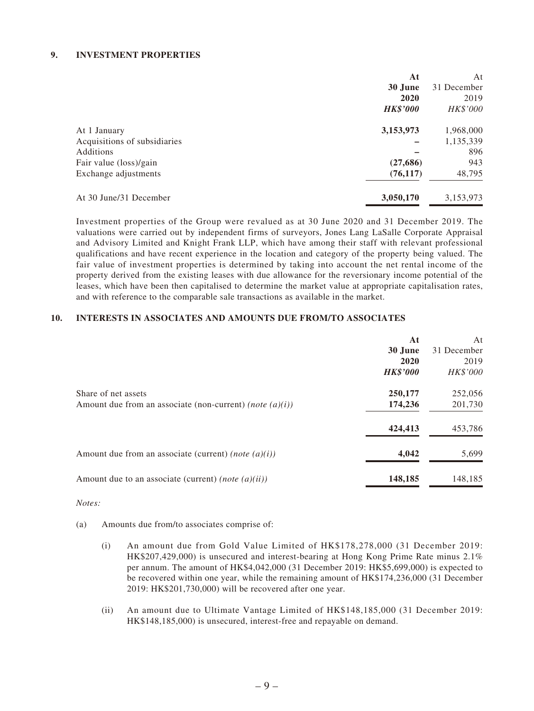#### **9. INVESTMENT PROPERTIES**

|                              | At              | At          |
|------------------------------|-----------------|-------------|
|                              | 30 June         | 31 December |
|                              | 2020            | 2019        |
|                              | <b>HK\$'000</b> | HK\$'000    |
| At 1 January                 | 3,153,973       | 1,968,000   |
| Acquisitions of subsidiaries |                 | 1,135,339   |
| Additions                    |                 | 896         |
| Fair value (loss)/gain       | (27, 686)       | 943         |
| Exchange adjustments         | (76, 117)       | 48,795      |
| At 30 June/31 December       | 3,050,170       | 3,153,973   |

Investment properties of the Group were revalued as at 30 June 2020 and 31 December 2019. The valuations were carried out by independent firms of surveyors, Jones Lang LaSalle Corporate Appraisal and Advisory Limited and Knight Frank LLP, which have among their staff with relevant professional qualifications and have recent experience in the location and category of the property being valued. The fair value of investment properties is determined by taking into account the net rental income of the property derived from the existing leases with due allowance for the reversionary income potential of the leases, which have been then capitalised to determine the market value at appropriate capitalisation rates, and with reference to the comparable sale transactions as available in the market.

#### **10. INTERESTS IN ASSOCIATES AND AMOUNTS DUE FROM/TO ASSOCIATES**

|                                                                                    | At<br>30 June<br>2020<br><b>HK\$'000</b> | At<br>31 December<br>2019<br>HK\$'000 |
|------------------------------------------------------------------------------------|------------------------------------------|---------------------------------------|
| Share of net assets<br>Amount due from an associate (non-current) (note $(a)(i)$ ) | 250,177<br>174,236                       | 252,056<br>201,730                    |
|                                                                                    | 424,413                                  | 453,786                               |
| Amount due from an associate (current) (note $(a)(i)$ )                            | 4,042                                    | 5,699                                 |
| Amount due to an associate (current) (note $(a)(ii)$ )                             | 148,185                                  | 148,185                               |

*Notes:*

- (a) Amounts due from/to associates comprise of:
	- (i) An amount due from Gold Value Limited of HK\$178,278,000 (31 December 2019: HK\$207,429,000) is unsecured and interest-bearing at Hong Kong Prime Rate minus 2.1% per annum. The amount of HK\$4,042,000 (31 December 2019: HK\$5,699,000) is expected to be recovered within one year, while the remaining amount of HK\$174,236,000 (31 December 2019: HK\$201,730,000) will be recovered after one year.
	- (ii) An amount due to Ultimate Vantage Limited of HK\$148,185,000 (31 December 2019: HK\$148,185,000) is unsecured, interest-free and repayable on demand.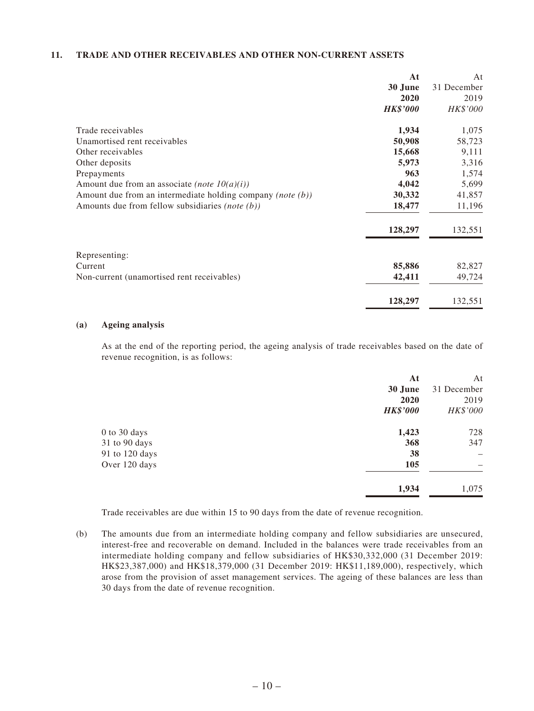### **11. TRADE AND OTHER RECEIVABLES AND OTHER NON-CURRENT ASSETS**

| At                                                                      | At          |
|-------------------------------------------------------------------------|-------------|
| 30 June                                                                 | 31 December |
| 2020                                                                    | 2019        |
| <b>HK\$'000</b>                                                         | HK\$'000    |
| Trade receivables<br>1,934                                              | 1,075       |
| Unamortised rent receivables<br>50,908                                  | 58,723      |
| 15,668<br>Other receivables                                             | 9,111       |
| Other deposits<br>5,973                                                 | 3,316       |
| 963<br>Prepayments                                                      | 1,574       |
| 4,042<br>Amount due from an associate (note $10(a)(i)$ )                | 5,699       |
| 30,332<br>Amount due from an intermediate holding company (note $(b)$ ) | 41,857      |
| 18,477<br>Amounts due from fellow subsidiaries (note (b))               | 11,196      |
| 128,297                                                                 | 132,551     |
| Representing:                                                           |             |
| 85,886<br>Current                                                       | 82,827      |
| Non-current (unamortised rent receivables)<br>42,411                    | 49,724      |
| 128,297                                                                 | 132,551     |

#### **(a) Ageing analysis**

As at the end of the reporting period, the ageing analysis of trade receivables based on the date of revenue recognition, is as follows:

| At              | At          |
|-----------------|-------------|
| 30 June         | 31 December |
| 2020            | 2019        |
| <b>HK\$'000</b> | HK\$'000    |
| 1,423           | 728         |
| 368             | 347         |
| 38              |             |
| 105             |             |
| 1,934           | 1,075       |
|                 |             |

Trade receivables are due within 15 to 90 days from the date of revenue recognition.

(b) The amounts due from an intermediate holding company and fellow subsidiaries are unsecured, interest-free and recoverable on demand. Included in the balances were trade receivables from an intermediate holding company and fellow subsidiaries of HK\$30,332,000 (31 December 2019: HK\$23,387,000) and HK\$18,379,000 (31 December 2019: HK\$11,189,000), respectively, which arose from the provision of asset management services. The ageing of these balances are less than 30 days from the date of revenue recognition.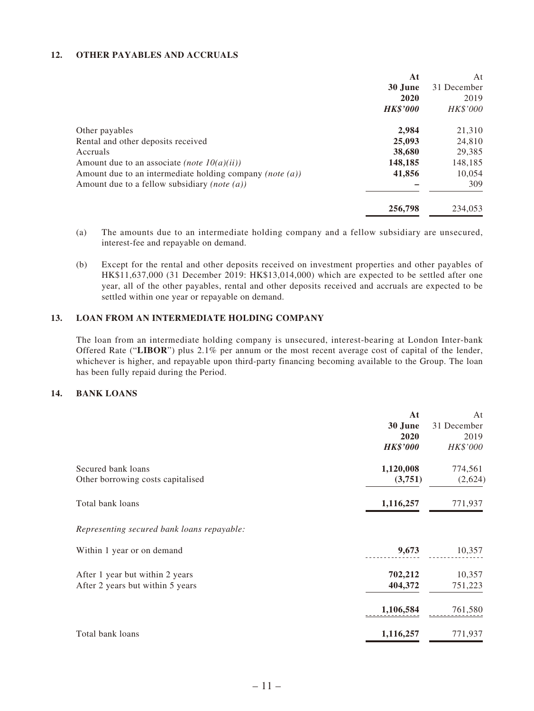### **12. OTHER PAYABLES AND ACCRUALS**

| At                                                                    | At          |
|-----------------------------------------------------------------------|-------------|
| 30 June                                                               | 31 December |
| 2020                                                                  | 2019        |
| <b>HK\$'000</b>                                                       | HK\$'000    |
| 2,984<br>Other payables                                               | 21,310      |
| 25,093<br>Rental and other deposits received                          | 24,810      |
| 38,680<br>Accruals                                                    | 29,385      |
| 148,185<br>Amount due to an associate <i>(note 10(a)(ii))</i>         | 148,185     |
| 41,856<br>Amount due to an intermediate holding company (note $(a)$ ) | 10.054      |
| Amount due to a fellow subsidiary <i>(note (a))</i>                   | 309         |
| 256,798                                                               | 234,053     |

- (a) The amounts due to an intermediate holding company and a fellow subsidiary are unsecured, interest-fee and repayable on demand.
- (b) Except for the rental and other deposits received on investment properties and other payables of HK\$11,637,000 (31 December 2019: HK\$13,014,000) which are expected to be settled after one year, all of the other payables, rental and other deposits received and accruals are expected to be settled within one year or repayable on demand.

### **13. LOAN FROM AN INTERMEDIATE HOLDING COMPANY**

The loan from an intermediate holding company is unsecured, interest-bearing at London Inter-bank Offered Rate ("**LIBOR**") plus 2.1% per annum or the most recent average cost of capital of the lender, whichever is higher, and repayable upon third-party financing becoming available to the Group. The loan has been fully repaid during the Period.

#### **14. BANK LOANS**

|                                            | At              | At          |
|--------------------------------------------|-----------------|-------------|
|                                            | 30 June         | 31 December |
|                                            | 2020            | 2019        |
|                                            | <b>HK\$'000</b> | HK\$'000    |
| Secured bank loans                         | 1,120,008       | 774,561     |
| Other borrowing costs capitalised          | (3,751)         | (2,624)     |
| Total bank loans                           | 1,116,257       | 771,937     |
| Representing secured bank loans repayable: |                 |             |
| Within 1 year or on demand                 | 9,673           | 10,357      |
| After 1 year but within 2 years            | 702,212         | 10,357      |
| After 2 years but within 5 years           | 404,372         | 751,223     |
|                                            | 1,106,584       | 761,580     |
| Total bank loans                           | 1,116,257       | 771,937     |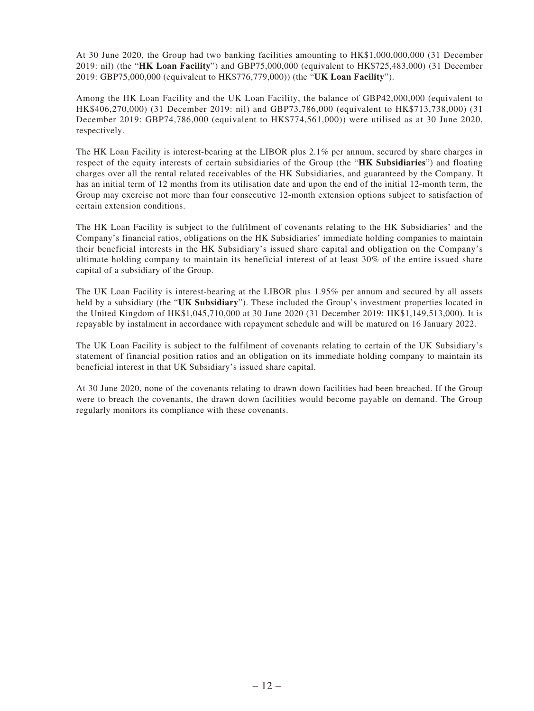At 30 June 2020, the Group had two banking facilities amounting to HK\$1,000,000,000 (31 December 2019: nil) (the "**HK Loan Facility**") and GBP75,000,000 (equivalent to HK\$725,483,000) (31 December 2019: GBP75,000,000 (equivalent to HK\$776,779,000)) (the "**UK Loan Facility**").

Among the HK Loan Facility and the UK Loan Facility, the balance of GBP42,000,000 (equivalent to HK\$406,270,000) (31 December 2019: nil) and GBP73,786,000 (equivalent to HK\$713,738,000) (31 December 2019: GBP74,786,000 (equivalent to HK\$774,561,000)) were utilised as at 30 June 2020, respectively.

The HK Loan Facility is interest-bearing at the LIBOR plus 2.1% per annum, secured by share charges in respect of the equity interests of certain subsidiaries of the Group (the "**HK Subsidiaries**") and floating charges over all the rental related receivables of the HK Subsidiaries, and guaranteed by the Company. It has an initial term of 12 months from its utilisation date and upon the end of the initial 12-month term, the Group may exercise not more than four consecutive 12-month extension options subject to satisfaction of certain extension conditions.

The HK Loan Facility is subject to the fulfilment of covenants relating to the HK Subsidiaries' and the Company's financial ratios, obligations on the HK Subsidiaries' immediate holding companies to maintain their beneficial interests in the HK Subsidiary's issued share capital and obligation on the Company's ultimate holding company to maintain its beneficial interest of at least 30% of the entire issued share capital of a subsidiary of the Group.

The UK Loan Facility is interest-bearing at the LIBOR plus 1.95% per annum and secured by all assets held by a subsidiary (the "**UK Subsidiary**"). These included the Group's investment properties located in the United Kingdom of HK\$1,045,710,000 at 30 June 2020 (31 December 2019: HK\$1,149,513,000). It is repayable by instalment in accordance with repayment schedule and will be matured on 16 January 2022.

The UK Loan Facility is subject to the fulfilment of covenants relating to certain of the UK Subsidiary's statement of financial position ratios and an obligation on its immediate holding company to maintain its beneficial interest in that UK Subsidiary's issued share capital.

At 30 June 2020, none of the covenants relating to drawn down facilities had been breached. If the Group were to breach the covenants, the drawn down facilities would become payable on demand. The Group regularly monitors its compliance with these covenants.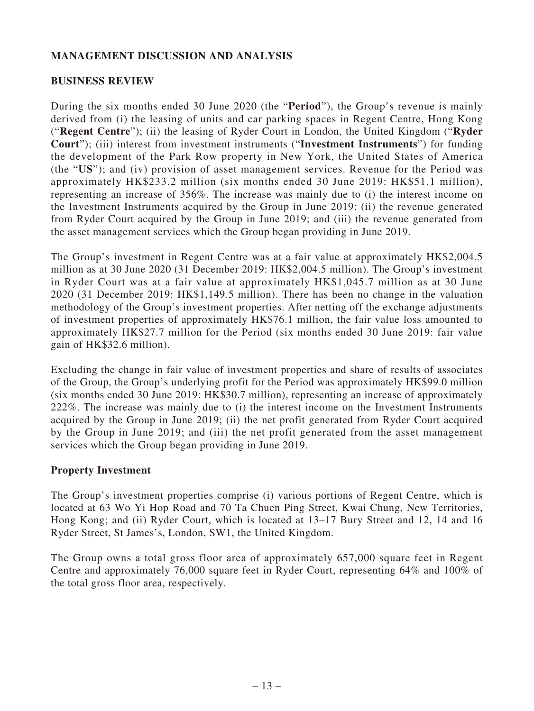## **MANAGEMENT DISCUSSION AND ANALYSIS**

### **BUSINESS REVIEW**

During the six months ended 30 June 2020 (the "**Period**"), the Group's revenue is mainly derived from (i) the leasing of units and car parking spaces in Regent Centre, Hong Kong ("**Regent Centre**"); (ii) the leasing of Ryder Court in London, the United Kingdom ("**Ryder Court**"); (iii) interest from investment instruments ("**Investment Instruments**") for funding the development of the Park Row property in New York, the United States of America (the "**US**"); and (iv) provision of asset management services. Revenue for the Period was approximately HK\$233.2 million (six months ended 30 June 2019: HK\$51.1 million), representing an increase of 356%. The increase was mainly due to (i) the interest income on the Investment Instruments acquired by the Group in June 2019; (ii) the revenue generated from Ryder Court acquired by the Group in June 2019; and (iii) the revenue generated from the asset management services which the Group began providing in June 2019.

The Group's investment in Regent Centre was at a fair value at approximately HK\$2,004.5 million as at 30 June 2020 (31 December 2019: HK\$2,004.5 million). The Group's investment in Ryder Court was at a fair value at approximately HK\$1,045.7 million as at 30 June 2020 (31 December 2019: HK\$1,149.5 million). There has been no change in the valuation methodology of the Group's investment properties. After netting off the exchange adjustments of investment properties of approximately HK\$76.1 million, the fair value loss amounted to approximately HK\$27.7 million for the Period (six months ended 30 June 2019: fair value gain of HK\$32.6 million).

Excluding the change in fair value of investment properties and share of results of associates of the Group, the Group's underlying profit for the Period was approximately HK\$99.0 million (six months ended 30 June 2019: HK\$30.7 million), representing an increase of approximately 222%. The increase was mainly due to (i) the interest income on the Investment Instruments acquired by the Group in June 2019; (ii) the net profit generated from Ryder Court acquired by the Group in June 2019; and (iii) the net profit generated from the asset management services which the Group began providing in June 2019.

## **Property Investment**

The Group's investment properties comprise (i) various portions of Regent Centre, which is located at 63 Wo Yi Hop Road and 70 Ta Chuen Ping Street, Kwai Chung, New Territories, Hong Kong; and (ii) Ryder Court, which is located at 13–17 Bury Street and 12, 14 and 16 Ryder Street, St James's, London, SW1, the United Kingdom.

The Group owns a total gross floor area of approximately 657,000 square feet in Regent Centre and approximately 76,000 square feet in Ryder Court, representing 64% and 100% of the total gross floor area, respectively.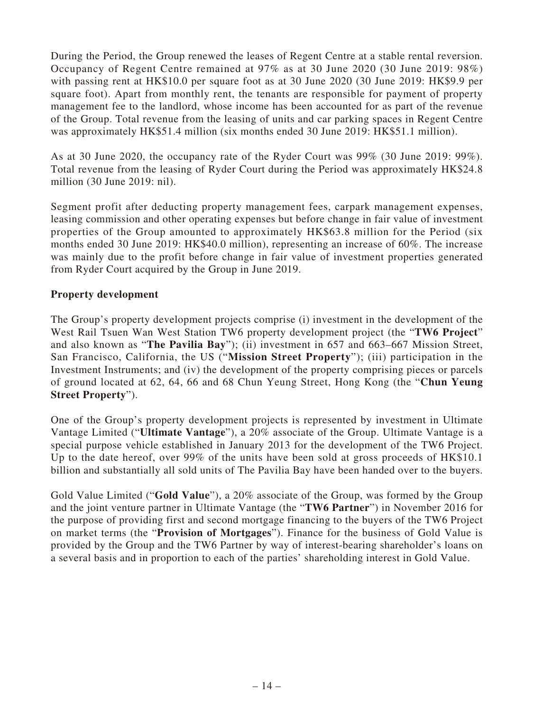During the Period, the Group renewed the leases of Regent Centre at a stable rental reversion. Occupancy of Regent Centre remained at 97% as at 30 June 2020 (30 June 2019: 98%) with passing rent at HK\$10.0 per square foot as at 30 June 2020 (30 June 2019: HK\$9.9 per square foot). Apart from monthly rent, the tenants are responsible for payment of property management fee to the landlord, whose income has been accounted for as part of the revenue of the Group. Total revenue from the leasing of units and car parking spaces in Regent Centre was approximately HK\$51.4 million (six months ended 30 June 2019: HK\$51.1 million).

As at 30 June 2020, the occupancy rate of the Ryder Court was 99% (30 June 2019: 99%). Total revenue from the leasing of Ryder Court during the Period was approximately HK\$24.8 million (30 June 2019: nil).

Segment profit after deducting property management fees, carpark management expenses, leasing commission and other operating expenses but before change in fair value of investment properties of the Group amounted to approximately HK\$63.8 million for the Period (six months ended 30 June 2019: HK\$40.0 million), representing an increase of 60%. The increase was mainly due to the profit before change in fair value of investment properties generated from Ryder Court acquired by the Group in June 2019.

## **Property development**

The Group's property development projects comprise (i) investment in the development of the West Rail Tsuen Wan West Station TW6 property development project (the "**TW6 Project**" and also known as "**The Pavilia Bay**"); (ii) investment in 657 and 663–667 Mission Street, San Francisco, California, the US ("**Mission Street Property**"); (iii) participation in the Investment Instruments; and (iv) the development of the property comprising pieces or parcels of ground located at 62, 64, 66 and 68 Chun Yeung Street, Hong Kong (the "**Chun Yeung Street Property**").

One of the Group's property development projects is represented by investment in Ultimate Vantage Limited ("**Ultimate Vantage**"), a 20% associate of the Group. Ultimate Vantage is a special purpose vehicle established in January 2013 for the development of the TW6 Project. Up to the date hereof, over 99% of the units have been sold at gross proceeds of HK\$10.1 billion and substantially all sold units of The Pavilia Bay have been handed over to the buyers.

Gold Value Limited ("**Gold Value**"), a 20% associate of the Group, was formed by the Group and the joint venture partner in Ultimate Vantage (the "**TW6 Partner**") in November 2016 for the purpose of providing first and second mortgage financing to the buyers of the TW6 Project on market terms (the "**Provision of Mortgages**"). Finance for the business of Gold Value is provided by the Group and the TW6 Partner by way of interest-bearing shareholder's loans on a several basis and in proportion to each of the parties' shareholding interest in Gold Value.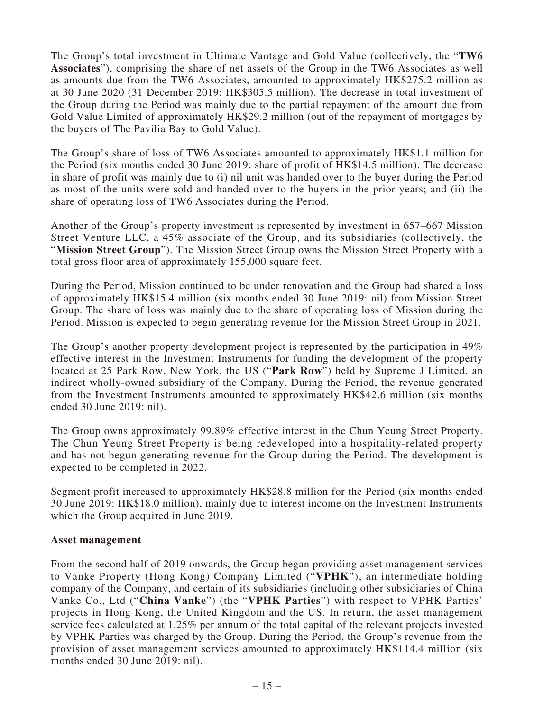The Group's total investment in Ultimate Vantage and Gold Value (collectively, the "**TW6 Associates**"), comprising the share of net assets of the Group in the TW6 Associates as well as amounts due from the TW6 Associates, amounted to approximately HK\$275.2 million as at 30 June 2020 (31 December 2019: HK\$305.5 million). The decrease in total investment of the Group during the Period was mainly due to the partial repayment of the amount due from Gold Value Limited of approximately HK\$29.2 million (out of the repayment of mortgages by the buyers of The Pavilia Bay to Gold Value).

The Group's share of loss of TW6 Associates amounted to approximately HK\$1.1 million for the Period (six months ended 30 June 2019: share of profit of HK\$14.5 million). The decrease in share of profit was mainly due to (i) nil unit was handed over to the buyer during the Period as most of the units were sold and handed over to the buyers in the prior years; and (ii) the share of operating loss of TW6 Associates during the Period.

Another of the Group's property investment is represented by investment in 657–667 Mission Street Venture LLC, a 45% associate of the Group, and its subsidiaries (collectively, the "**Mission Street Group**"). The Mission Street Group owns the Mission Street Property with a total gross floor area of approximately 155,000 square feet.

During the Period, Mission continued to be under renovation and the Group had shared a loss of approximately HK\$15.4 million (six months ended 30 June 2019: nil) from Mission Street Group. The share of loss was mainly due to the share of operating loss of Mission during the Period. Mission is expected to begin generating revenue for the Mission Street Group in 2021.

The Group's another property development project is represented by the participation in 49% effective interest in the Investment Instruments for funding the development of the property located at 25 Park Row, New York, the US ("**Park Row**") held by Supreme J Limited, an indirect wholly-owned subsidiary of the Company. During the Period, the revenue generated from the Investment Instruments amounted to approximately HK\$42.6 million (six months ended 30 June 2019: nil).

The Group owns approximately 99.89% effective interest in the Chun Yeung Street Property. The Chun Yeung Street Property is being redeveloped into a hospitality-related property and has not begun generating revenue for the Group during the Period. The development is expected to be completed in 2022.

Segment profit increased to approximately HK\$28.8 million for the Period (six months ended 30 June 2019: HK\$18.0 million), mainly due to interest income on the Investment Instruments which the Group acquired in June 2019.

### **Asset management**

From the second half of 2019 onwards, the Group began providing asset management services to Vanke Property (Hong Kong) Company Limited ("**VPHK**"), an intermediate holding company of the Company, and certain of its subsidiaries (including other subsidiaries of China Vanke Co., Ltd ("**China Vanke**") (the "**VPHK Parties**") with respect to VPHK Parties' projects in Hong Kong, the United Kingdom and the US. In return, the asset management service fees calculated at 1.25% per annum of the total capital of the relevant projects invested by VPHK Parties was charged by the Group. During the Period, the Group's revenue from the provision of asset management services amounted to approximately HK\$114.4 million (six months ended 30 June 2019: nil).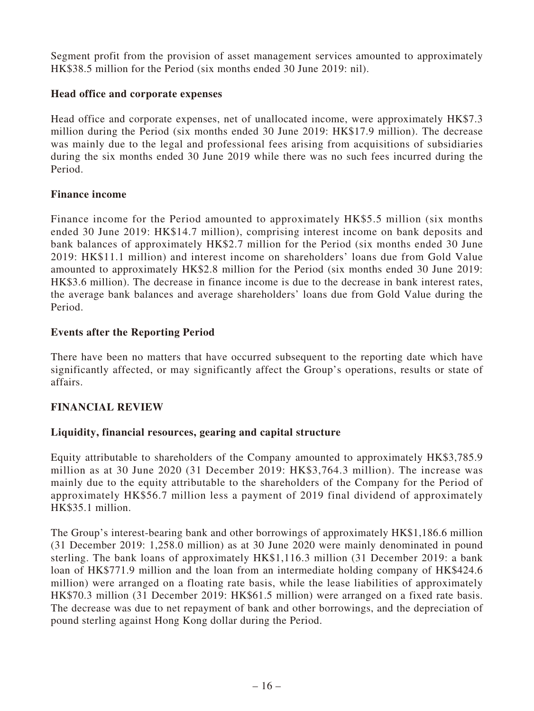Segment profit from the provision of asset management services amounted to approximately HK\$38.5 million for the Period (six months ended 30 June 2019: nil).

## **Head office and corporate expenses**

Head office and corporate expenses, net of unallocated income, were approximately HK\$7.3 million during the Period (six months ended 30 June 2019: HK\$17.9 million). The decrease was mainly due to the legal and professional fees arising from acquisitions of subsidiaries during the six months ended 30 June 2019 while there was no such fees incurred during the Period.

## **Finance income**

Finance income for the Period amounted to approximately HK\$5.5 million (six months ended 30 June 2019: HK\$14.7 million), comprising interest income on bank deposits and bank balances of approximately HK\$2.7 million for the Period (six months ended 30 June 2019: HK\$11.1 million) and interest income on shareholders' loans due from Gold Value amounted to approximately HK\$2.8 million for the Period (six months ended 30 June 2019: HK\$3.6 million). The decrease in finance income is due to the decrease in bank interest rates, the average bank balances and average shareholders' loans due from Gold Value during the Period.

## **Events after the Reporting Period**

There have been no matters that have occurred subsequent to the reporting date which have significantly affected, or may significantly affect the Group's operations, results or state of affairs.

## **FINANCIAL REVIEW**

## **Liquidity, financial resources, gearing and capital structure**

Equity attributable to shareholders of the Company amounted to approximately HK\$3,785.9 million as at 30 June 2020 (31 December 2019: HK\$3,764.3 million). The increase was mainly due to the equity attributable to the shareholders of the Company for the Period of approximately HK\$56.7 million less a payment of 2019 final dividend of approximately HK\$35.1 million.

The Group's interest-bearing bank and other borrowings of approximately HK\$1,186.6 million (31 December 2019: 1,258.0 million) as at 30 June 2020 were mainly denominated in pound sterling. The bank loans of approximately HK\$1,116.3 million (31 December 2019: a bank loan of HK\$771.9 million and the loan from an intermediate holding company of HK\$424.6 million) were arranged on a floating rate basis, while the lease liabilities of approximately HK\$70.3 million (31 December 2019: HK\$61.5 million) were arranged on a fixed rate basis. The decrease was due to net repayment of bank and other borrowings, and the depreciation of pound sterling against Hong Kong dollar during the Period.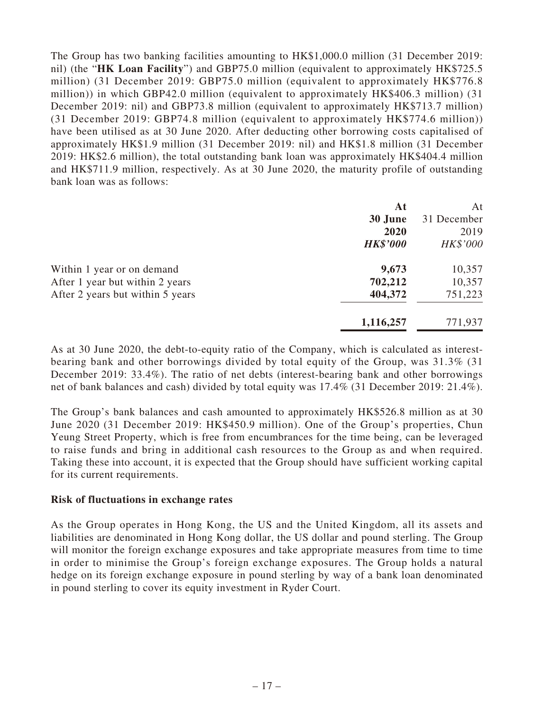The Group has two banking facilities amounting to HK\$1,000.0 million (31 December 2019: nil) (the "**HK Loan Facility**") and GBP75.0 million (equivalent to approximately HK\$725.5 million) (31 December 2019: GBP75.0 million (equivalent to approximately HK\$776.8 million)) in which GBP42.0 million (equivalent to approximately HK\$406.3 million) (31 December 2019: nil) and GBP73.8 million (equivalent to approximately HK\$713.7 million) (31 December 2019: GBP74.8 million (equivalent to approximately HK\$774.6 million)) have been utilised as at 30 June 2020. After deducting other borrowing costs capitalised of approximately HK\$1.9 million (31 December 2019: nil) and HK\$1.8 million (31 December 2019: HK\$2.6 million), the total outstanding bank loan was approximately HK\$404.4 million and HK\$711.9 million, respectively. As at 30 June 2020, the maturity profile of outstanding bank loan was as follows:

|                                  | At              | At          |
|----------------------------------|-----------------|-------------|
|                                  | 30 June         | 31 December |
|                                  | 2020            | 2019        |
|                                  | <b>HK\$'000</b> | HK\$'000    |
| Within 1 year or on demand       | 9,673           | 10,357      |
| After 1 year but within 2 years  | 702,212         | 10,357      |
| After 2 years but within 5 years | 404,372         | 751,223     |
|                                  | 1,116,257       | 771,937     |

As at 30 June 2020, the debt-to-equity ratio of the Company, which is calculated as interestbearing bank and other borrowings divided by total equity of the Group, was 31.3% (31 December 2019: 33.4%). The ratio of net debts (interest-bearing bank and other borrowings net of bank balances and cash) divided by total equity was 17.4% (31 December 2019: 21.4%).

The Group's bank balances and cash amounted to approximately HK\$526.8 million as at 30 June 2020 (31 December 2019: HK\$450.9 million). One of the Group's properties, Chun Yeung Street Property, which is free from encumbrances for the time being, can be leveraged to raise funds and bring in additional cash resources to the Group as and when required. Taking these into account, it is expected that the Group should have sufficient working capital for its current requirements.

### **Risk of fluctuations in exchange rates**

As the Group operates in Hong Kong, the US and the United Kingdom, all its assets and liabilities are denominated in Hong Kong dollar, the US dollar and pound sterling. The Group will monitor the foreign exchange exposures and take appropriate measures from time to time in order to minimise the Group's foreign exchange exposures. The Group holds a natural hedge on its foreign exchange exposure in pound sterling by way of a bank loan denominated in pound sterling to cover its equity investment in Ryder Court.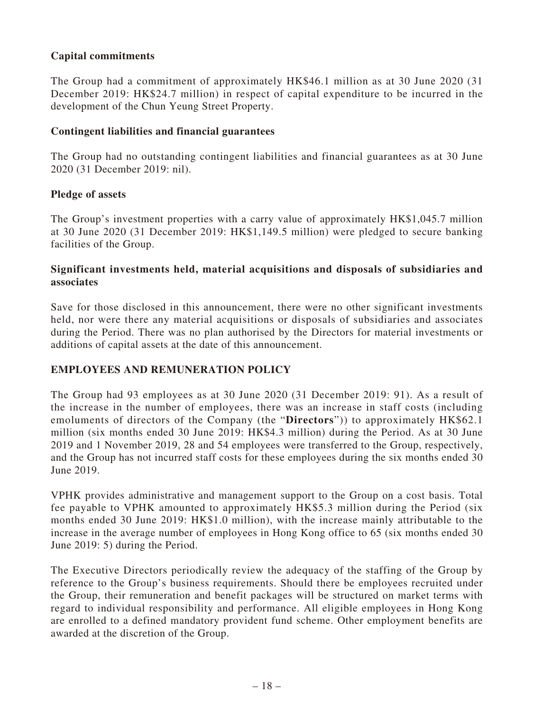## **Capital commitments**

The Group had a commitment of approximately HK\$46.1 million as at 30 June 2020 (31 December 2019: HK\$24.7 million) in respect of capital expenditure to be incurred in the development of the Chun Yeung Street Property.

### **Contingent liabilities and financial guarantees**

The Group had no outstanding contingent liabilities and financial guarantees as at 30 June 2020 (31 December 2019: nil).

### **Pledge of assets**

The Group's investment properties with a carry value of approximately HK\$1,045.7 million at 30 June 2020 (31 December 2019: HK\$1,149.5 million) were pledged to secure banking facilities of the Group.

## **Significant investments held, material acquisitions and disposals of subsidiaries and associates**

Save for those disclosed in this announcement, there were no other significant investments held, nor were there any material acquisitions or disposals of subsidiaries and associates during the Period. There was no plan authorised by the Directors for material investments or additions of capital assets at the date of this announcement.

## **EMPLOYEES AND REMUNERATION POLICY**

The Group had 93 employees as at 30 June 2020 (31 December 2019: 91). As a result of the increase in the number of employees, there was an increase in staff costs (including emoluments of directors of the Company (the "**Directors**")) to approximately HK\$62.1 million (six months ended 30 June 2019: HK\$4.3 million) during the Period. As at 30 June 2019 and 1 November 2019, 28 and 54 employees were transferred to the Group, respectively, and the Group has not incurred staff costs for these employees during the six months ended 30 June 2019.

VPHK provides administrative and management support to the Group on a cost basis. Total fee payable to VPHK amounted to approximately HK\$5.3 million during the Period (six months ended 30 June 2019: HK\$1.0 million), with the increase mainly attributable to the increase in the average number of employees in Hong Kong office to 65 (six months ended 30 June 2019: 5) during the Period.

The Executive Directors periodically review the adequacy of the staffing of the Group by reference to the Group's business requirements. Should there be employees recruited under the Group, their remuneration and benefit packages will be structured on market terms with regard to individual responsibility and performance. All eligible employees in Hong Kong are enrolled to a defined mandatory provident fund scheme. Other employment benefits are awarded at the discretion of the Group.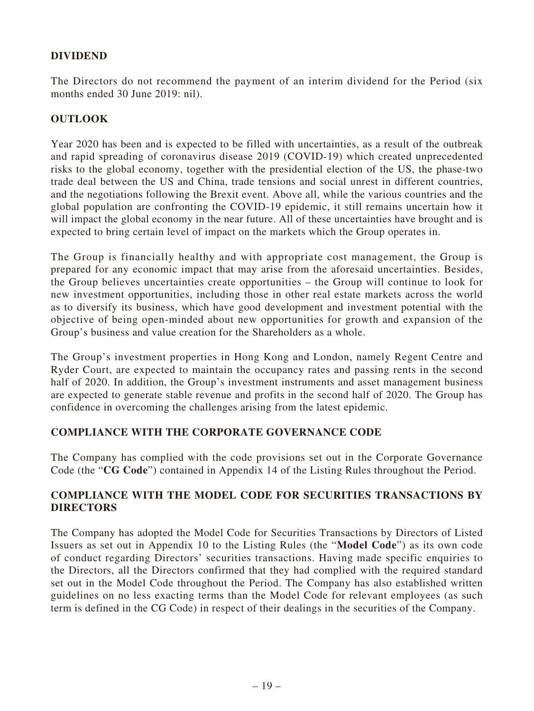## **DIVIDEND**

The Directors do not recommend the payment of an interim dividend for the Period (six months ended 30 June 2019: nil).

## **OUTLOOK**

Year 2020 has been and is expected to be filled with uncertainties, as a result of the outbreak and rapid spreading of coronavirus disease 2019 (COVID-19) which created unprecedented risks to the global economy, together with the presidential election of the US, the phase-two trade deal between the US and China, trade tensions and social unrest in different countries, and the negotiations following the Brexit event. Above all, while the various countries and the global population are confronting the COVID-19 epidemic, it still remains uncertain how it will impact the global economy in the near future. All of these uncertainties have brought and is expected to bring certain level of impact on the markets which the Group operates in.

The Group is financially healthy and with appropriate cost management, the Group is prepared for any economic impact that may arise from the aforesaid uncertainties. Besides, the Group believes uncertainties create opportunities – the Group will continue to look for new investment opportunities, including those in other real estate markets across the world as to diversify its business, which have good development and investment potential with the objective of being open-minded about new opportunities for growth and expansion of the Group's business and value creation for the Shareholders as a whole.

The Group's investment properties in Hong Kong and London, namely Regent Centre and Ryder Court, are expected to maintain the occupancy rates and passing rents in the second half of 2020. In addition, the Group's investment instruments and asset management business are expected to generate stable revenue and profits in the second half of 2020. The Group has confidence in overcoming the challenges arising from the latest epidemic.

## **COMPLIANCE WITH THE CORPORATE GOVERNANCE CODE**

The Company has complied with the code provisions set out in the Corporate Governance Code (the "**CG Code**") contained in Appendix 14 of the Listing Rules throughout the Period.

## **COMPLIANCE WITH THE MODEL CODE FOR SECURITIES TRANSACTIONS BY DIRECTORS**

The Company has adopted the Model Code for Securities Transactions by Directors of Listed Issuers as set out in Appendix 10 to the Listing Rules (the "**Model Code**") as its own code of conduct regarding Directors' securities transactions. Having made specific enquiries to the Directors, all the Directors confirmed that they had complied with the required standard set out in the Model Code throughout the Period. The Company has also established written guidelines on no less exacting terms than the Model Code for relevant employees (as such term is defined in the CG Code) in respect of their dealings in the securities of the Company.